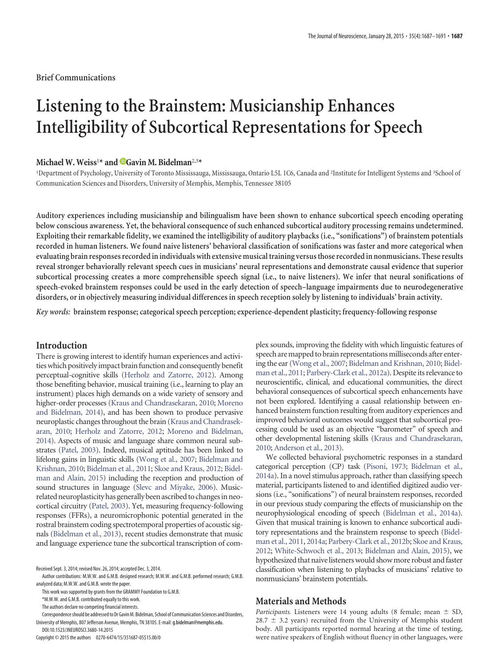#### **Brief Communications**

# **Listening to the Brainstem: Musicianship Enhances Intelligibility of Subcortical Representations for Speech**

## **Michael W. Weiss**<sup>1</sup> **\* andXGavin M. Bidelman**2,3**\***

<sup>1</sup>Department of Psychology, University of Toronto Mississauga, Mississauga, Ontario L5L 1C6, Canada and <sup>2</sup>Institute for Intelligent Systems and <sup>3</sup>School of Communication Sciences and Disorders, University of Memphis, Memphis, Tennessee 38105

**Auditory experiences including musicianship and bilingualism have been shown to enhance subcortical speech encoding operating below conscious awareness. Yet, the behavioral consequence of such enhanced subcortical auditory processing remains undetermined. Exploiting their remarkable fidelity, we examined the intelligibility of auditory playbacks (i.e., "sonifications") of brainstem potentials recorded in human listeners. We found naive listeners' behavioral classification of sonifications was faster and more categorical when evaluating brain responses recorded in individuals with extensive musicaltraining versusthose recorded in nonmusicians. These results reveal stronger behaviorally relevant speech cues in musicians' neural representations and demonstrate causal evidence that superior subcortical processing creates a more comprehensible speech signal (i.e., to naive listeners). We infer that neural sonifications of speech-evoked brainstem responses could be used in the early detection of speech–language impairments due to neurodegenerative disorders, or in objectively measuring individual differences in speech reception solely by listening to individuals' brain activity.**

*Key words:* **brainstem response; categorical speech perception; experience-dependent plasticity; frequency-following response**

# **Introduction**

There is growing interest to identify human experiences and activities which positively impact brain function and consequently benefit perceptual-cognitive skills [\(Herholz and Zatorre, 2012\)](#page-3-0). Among those benefiting behavior, musical training (i.e., learning to play an instrument) places high demands on a wide variety of sensory and higher-order processes [\(Kraus and Chandrasekaran, 2010;](#page-4-0) [Moreno](#page-4-1) [and Bidelman, 2014\)](#page-4-1), and has been shown to produce pervasive neuroplastic changes throughout the brain [\(Kraus and Chandrasek](#page-4-0)[aran, 2010;](#page-4-0) [Herholz and Zatorre, 2012;](#page-3-0) [Moreno and Bidelman,](#page-4-1) [2014\)](#page-4-1). Aspects of music and language share common neural substrates [\(Patel, 2003\)](#page-4-2). Indeed, musical aptitude has been linked to lifelong gains in linguistic skills [\(Wong et al., 2007;](#page-4-3) [Bidelman and](#page-3-1) [Krishnan, 2010;](#page-3-1) [Bidelman et al., 2011;](#page-3-2) [Skoe and Kraus, 2012;](#page-4-4) [Bidel](#page-3-3)[man and Alain, 2015\)](#page-3-3) including the reception and production of sound structures in language [\(Slevc and Miyake, 2006\)](#page-4-5). Musicrelated neuroplasticity has generally been ascribed to changes in neocortical circuitry [\(Patel, 2003\)](#page-4-2). Yet, measuring frequency-following responses (FFRs), a neuromicrophonic potential generated in the rostral brainstem coding spectrotemporal properties of acoustic signals [\(Bidelman et al., 2013\)](#page-3-4), recent studies demonstrate that music and language experience tune the subcortical transcription of com-

DOI:10.1523/JNEUROSCI.3680-14.2015

Copyright © 2015 the authors 0270-6474/15/351687-05\$15.00/0

plex sounds, improving the fidelity with which linguistic features of speech are mapped to brain representations milliseconds after entering the ear [\(Wong et al., 2007;](#page-4-3) [Bidelman and Krishnan, 2010;](#page-3-1) [Bidel](#page-3-2)[man et al., 2011;](#page-3-2) [Parbery-Clark et al., 2012a\)](#page-4-6). Despite its relevance to neuroscientific, clinical, and educational communities, the direct behavioral consequences of subcortical speech enhancements have not been explored. Identifying a causal relationship between enhanced brainstem function resulting from auditory experiences and improved behavioral outcomes would suggest that subcortical processing could be used as an objective "barometer" of speech and other developmental listening skills [\(Kraus and Chandrasekaran,](#page-4-0) [2010;](#page-4-0) [Anderson et al., 2013\)](#page-3-5).

We collected behavioral psychometric responses in a standard categorical perception (CP) task [\(Pisoni, 1973;](#page-4-7) [Bidelman et al.,](#page-3-6) [2014a\)](#page-3-6). In a novel stimulus approach, rather than classifying speech material, participants listened to and identified digitized audio versions (i.e., "sonifications") of neural brainstem responses, recorded in our previous study comparing the effects of musicianship on the neurophysiological encoding of speech [\(Bidelman et al., 2014a\)](#page-3-6). Given that musical training is known to enhance subcortical auditory representations and the brainstem response to speech [\(Bidel](#page-3-2)[man et al., 2011,](#page-3-2) [2014a;](#page-3-6) [Parbery-Clark et al., 2012b;](#page-4-8) [Skoe and Kraus,](#page-4-4) [2012;](#page-4-4) [White-Schwoch et al., 2013;](#page-4-9) [Bidelman and Alain, 2015\)](#page-3-3), we hypothesized that naive listeners would show more robust and faster classification when listening to playbacks of musicians' relative to nonmusicians' brainstem potentials.

## **Materials and Methods**

Participants. Listeners were 14 young adults (8 female; mean  $\pm$  SD,  $28.7 \pm 3.2$  years) recruited from the University of Memphis student body. All participants reported normal hearing at the time of testing, were native speakers of English without fluency in other languages, were

Received Sept. 3, 2014; revised Nov. 26, 2014; accepted Dec. 3, 2014.

Author contributions: M.W.W. and G.M.B. designed research; M.W.W. and G.M.B. performed research; G.M.B. analyzed data; M.W.W. and G.M.B. wrote the paper.

This work was supported by grants from the GRAMMY Foundation to G.M.B.

<sup>\*</sup>M.W.W. and G.M.B. contributed equally to this work.

The authors declare no competing financial interests.

Correspondence should be addressed to Dr Gavin M. Bidelman, School of Communication Sciences and Disorders, University of Memphis, 807 Jefferson Avenue, Memphis, TN 38105. E-mail:g.bidelman@memphis.edu.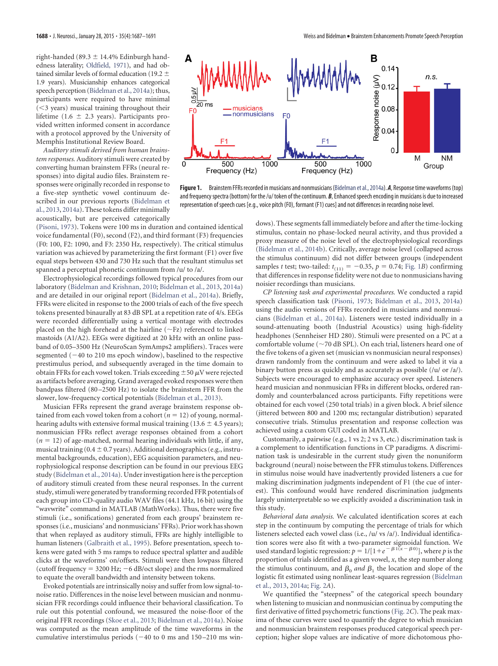right-handed (89.3  $\pm$  14.4% Edinburgh handedness laterality; [Oldfield, 1971\)](#page-4-10), and had obtained similar levels of formal education (19.2  $\pm$ 1.9 years). Musicianship enhances categorical speech perception [\(Bidelman et al.,](#page-3-6) 2014a); thus, participants were required to have minimal  $(<$ 3 years) musical training throughout their lifetime  $(1.6 \pm 2.3 \text{ years})$ . Participants provided written informed consent in accordance with a protocol approved by the University of Memphis Institutional Review Board.

*Auditory stimuli derived from human brainstem responses.* Auditory stimuli were created by converting human brainstem FFRs (neural responses) into digital audio files. Brainstem responses were originally recorded in response to a five-step synthetic vowel continuum described in our previous reports [\(Bidelman et](#page-3-4) [al., 2013,](#page-3-4) [2014a\)](#page-3-6). These tokens differ minimally acoustically, but are perceived categorically

[\(Pisoni, 1973\)](#page-4-7). Tokens were 100 ms in duration and contained identical voice fundamental (F0), second (F2), and third formant (F3) frequencies (F0: 100, F2: 1090, and F3: 2350 Hz, respectively). The critical stimulus variation was achieved by parameterizing the first formant (F1) over five equal steps between 430 and 730 Hz such that the resultant stimulus set spanned a perceptual phonetic continuum from /u/ to /a/.

Electrophysiological recordings followed typical procedures from our laboratory [\(Bidelman and Krishnan, 2010;](#page-3-1) [Bidelman et al., 2013,](#page-3-4) [2014a\)](#page-3-6) and are detailed in our original report [\(Bidelman et al., 2014a\)](#page-3-6). Briefly, FFRs were elicited in response to the 2000 trials of each of the five speech tokens presented binaurally at 83 dB SPL at a repetition rate of 4/s. EEGs were recorded differentially using a vertical montage with electrodes placed on the high forehead at the hairline  $(\sim$  Fz) referenced to linked mastoids (A1/A2). EEGs were digitized at 20 kHz with an online passband of 0.05–3500 Hz (NeuroScan SymAmps2 amplifiers). Traces were segmented  $(-40 \text{ to } 210 \text{ ms}$  epoch window), baselined to the respective prestimulus period, and subsequently averaged in the time domain to obtain FFRs for each vowel token. Trials exceeding  $\pm$  50  $\mu$ V were rejected as artifacts before averaging. Grand averaged evoked responses were then bandpass filtered (80-2500 Hz) to isolate the brainstem FFR from the slower, low-frequency cortical potentials [\(Bidelman et al., 2013\)](#page-3-4).

Musician FFRs represent the grand average brainstem response obtained from each vowel token from a cohort  $(n = 12)$  of young, normalhearing adults with extensive formal musical training (13.6  $\pm$  4.5 years); nonmusician FFRs reflect average responses obtained from a cohort  $(n = 12)$  of age-matched, normal hearing individuals with little, if any, musical training (0.4  $\pm$  0.7 years). Additional demographics (e.g., instrumental backgrounds, education), EEG acquisition parameters, and neurophysiological response description can be found in our previous EEG study [\(Bidelman et al., 2014a\)](#page-3-6). Under investigation here is the perception of auditory stimuli created from these neural responses. In the current study, stimuli were generated by transforming recorded FFR potentials of each group into CD-quality audio WAV files (44.1 kHz, 16 bit) using the "wavwrite" command in MATLAB (MathWorks). Thus, there were five stimuli (i.e., sonifications) generated from each groups' brainstem responses (i.e., musicians' and nonmusicians' FFRs). Prior work has shown that when replayed as auditory stimuli, FFRs are highly intelligible to human listeners [\(Galbraith et al., 1995\)](#page-3-7). Before presentation, speech tokens were gated with 5 ms ramps to reduce spectral splatter and audible clicks at the waveforms' on/offsets. Stimuli were then lowpass filtered (cutoff frequency  $=$  3200 Hz;  $-6$  dB/oct slope) and the rms normalized to equate the overall bandwidth and intensity between tokens.

Evoked potentials are intrinsically noisy and suffer from low signal-tonoise ratio. Differences in the noise level between musician and nonmusician FFR recordings could influence their behavioral classification. To rule out this potential confound, we measured the noise-floor of the original FFR recordings [\(Skoe et al., 2013;](#page-4-11) [Bidelman et al., 2014a\)](#page-3-6). Noise was computed as the mean amplitude of the time waveforms in the cumulative interstimulus periods  $(-40 \text{ to } 0 \text{ ms and } 150 - 210 \text{ ms win-}$ 



<span id="page-1-0"></span>Figure 1. Brainstem FFRs recorded in musicians and nonmusicians [\(Bidelman et al., 2014a\)](#page-3-6). A, Response time waveforms (top) and frequency spectra (bottom) for the /u/ token of the continuum. **B**, Enhanced speech encoding in musicians is due to increased representation of speech cues [e.g., voice pitch (F0), formant (F1) cues] and not differences in recording noise level.

dows). These segments fall immediately before and after the time-locking stimulus, contain no phase-locked neural activity, and thus provided a proxy measure of the noise level of the electrophysiological recordings [\(Bidelman et al., 2014b\)](#page-3-8). Critically, average noise level (collapsed across the stimulus continuum) did not differ between groups (independent samples *t* test; two-tailed:  $t_{(11)} = -0.35$ ,  $p = 0.74$ ; [Fig. 1](#page-1-0)*B*) confirming that differences in response fidelity were not due to nonmusicians having noisier recordings than musicians.

*CP listening task and experimental procedures.* We conducted a rapid speech classification task [\(Pisoni, 1973;](#page-4-7) [Bidelman et al., 2013,](#page-3-4) [2014a\)](#page-3-6) using the audio versions of FFRs recorded in musicians and nonmusicians [\(Bidelman et al., 2014a\)](#page-3-6). Listeners were tested individually in a sound-attenuating booth (Industrial Acoustics) using high-fidelity headphones (Sennheiser HD 280). Stimuli were presented on a PC at a comfortable volume ( $\sim$ 70 dB SPL). On each trial, listeners heard one of the five tokens of a given set (musician vs nonmusician neural responses) drawn randomly from the continuum and were asked to label it via a binary button press as quickly and as accurately as possible (/u/ or /a/). Subjects were encouraged to emphasize accuracy over speed. Listeners heard musician and nonmusician FFRs in different blocks, ordered randomly and counterbalanced across participants. Fifty repetitions were obtained for each vowel (250 total trials) in a given block. A brief silence (jittered between 800 and 1200 ms; rectangular distribution) separated consecutive trials. Stimulus presentation and response collection was achieved using a custom GUI coded in MATLAB.

Customarily, a pairwise (e.g., 1 vs 2; 2 vs 3, etc.) discrimination task is a complement to identification functions in CP paradigms. A discrimination task is undesirable in the current study given the nonuniform background (neural) noise between the FFR stimulus tokens. Differences in stimulus noise would have inadvertently provided listeners a cue for making discrimination judgments independent of F1 (the cue of interest). This confound would have rendered discrimination judgments largely uninterpretable so we explicitly avoided a discrimination task in this study.

*Behavioral data analysis.* We calculated identification scores at each step in the continuum by computing the percentage of trials for which listeners selected each vowel class (i.e., /u/ vs /a/). Individual identification scores were also fit with a two-parameter sigmoidal function. We used standard logistic regression:  $p = 1/[1 + e^{-\beta 1(x - \beta 0)}]$ , where p is the proportion of trials identified as a given vowel, *x*, the step number along the stimulus continuum, and  $\beta_0$  *and*  $\beta_1$  the location and slope of the logistic fit estimated using nonlinear least-squares regression [\(Bidelman](#page-3-4) [et al., 2013,](#page-3-4) [2014a;](#page-3-6) [Fig. 2](#page-2-0)*A*).

We quantified the "steepness" of the categorical speech boundary when listening to musician and nonmusician continua by computing the first derivative of fitted psychometric functions [\(Fig. 2](#page-2-0)*C*). The peak maxima of these curves were used to quantify the degree to which musician and nonmusician brainstem responses produced categorical speech perception; higher slope values are indicative of more dichotomous pho-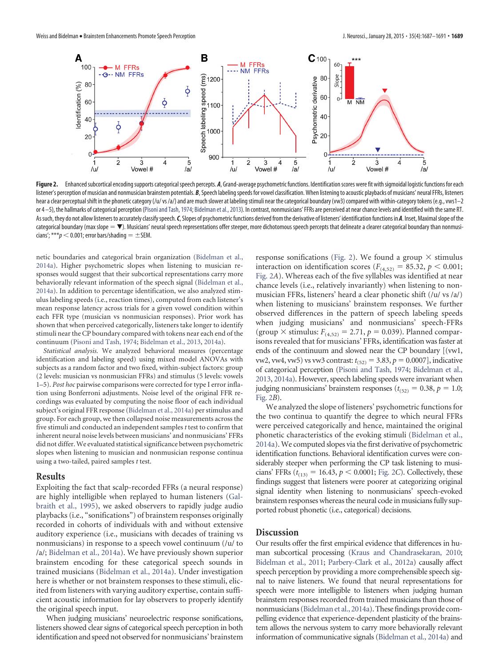

<span id="page-2-0"></span>Figure 2. Enhanced subcortical encoding supports categorical speech percepts. *A*, Grand-average psychometric functions. Identification scores were fit with sigmoidal logistic functions for each listener's perception of musician and nonmusician brainstem potentials. *B*, Speech labeling speeds for vowel classification. When listening to acoustic playbacks of musicians' neural FFRs, listeners hear a clear perceptual shift in the phonetic category (/u/ vs /a/) and are much slower at labeling stimuli near the categorical boundary (vw3) compared with within-category tokens (e.g., vws1-2 or 4 –5), the hallmarks of categorical perception [\(Pisoni and Tash, 1974;](#page-4-12) [Bidelman et al., 2013\)](#page-3-4). In contrast, nonmusicians' FFRs are perceived at near chance levels and identified with thesame RT. Assuch, they do not allow listeners to accurately classifyspeech.*C*, Slopes of psychometric functions derived from the derivative of listeners' identification functions in *A*. Inset, Maximalslope of the categorical boundary (max slope = ▼). Musicians' neural speech representations offer steeper, more dichotomous speech percepts that delineate a clearer categorical boundary than nonmusicians';  $\ast\ast\ast_{p}$   $<$  0.001; error bars/shading  $=$   $\pm$  SEM.

netic boundaries and categorical brain organization [\(Bidelman et al.,](#page-3-6) [2014a\)](#page-3-6). Higher psychometric slopes when listening to musician responses would suggest that their subcortical representations carry more behaviorally relevant information of the speech signal [\(Bidelman et al.,](#page-3-6) [2014a\)](#page-3-6). In addition to percentage identification, we also analyzed stimulus labeling speeds (i.e., reaction times), computed from each listener's mean response latency across trials for a given vowel condition within each FFR type (musician vs nonmusician responses). Prior work has shown that when perceived categorically, listeners take longer to identify stimuli near the CP boundary compared with tokens near each end of the continuum [\(Pisoni and Tash, 1974;](#page-4-12) [Bidelman et al., 2013,](#page-3-4) [2014a\)](#page-3-6).

*Statistical analysis.* We analyzed behavioral measures (percentage identification and labeling speed) using mixed model ANOVAs with subjects as a random factor and two fixed, within-subject factors: group (2 levels: musician vs nonmusician FFRs) and stimulus (5 levels: vowels 1–5). *Post hoc* pairwise comparisons were corrected for type I error inflation using Bonferroni adjustments. Noise level of the original FFR recordings was evaluated by computing the noise floor of each individual subject's original FFR response [\(Bidelman et al., 2014a\)](#page-3-6) per stimulus and group. For each group, we then collapsed noise measurements across the five stimuli and conducted an independent samples *t* test to confirm that inherent neural noise levels between musicians' and nonmusicians' FFRs did not differ.We evaluated statistical significance between psychometric slopes when listening to musician and nonmusician response continua using a two-tailed, paired samples *t* test.

#### **Results**

Exploiting the fact that scalp-recorded FFRs (a neural response) are highly intelligible when replayed to human listeners [\(Gal](#page-3-7)[braith et al., 1995\)](#page-3-7), we asked observers to rapidly judge audio playbacks (i.e., "sonifications") of brainstem responses originally recorded in cohorts of individuals with and without extensive auditory experience (i.e., musicians with decades of training vs nonmusicians) in response to a speech vowel continuum (/u/ to /a/; [Bidelman et al., 2014a\)](#page-3-6). We have previously shown superior brainstem encoding for these categorical speech sounds in trained musicians [\(Bidelman et al., 2014a\)](#page-3-6). Under investigation here is whether or not brainstem responses to these stimuli, elicited from listeners with varying auditory expertise, contain sufficient acoustic information for lay observers to properly identify the original speech input.

When judging musicians' neuroelectric response sonifications, listeners showed clear signs of categorical speech perception in both identification and speed not observed for nonmusicians' brainstem response sonifications [\(Fig. 2\)](#page-2-0). We found a group  $\times$  stimulus interaction on identification scores ( $F_{(4,52)} = 85.32$ ,  $p < 0.001$ ; [Fig. 2](#page-2-0)*A*). Whereas each of the five syllables was identified at near chance levels (i.e., relatively invariantly) when listening to nonmusician FFRs, listeners' heard a clear phonetic shift (/u/ vs /a/) when listening to musicians' brainstem responses. We further observed differences in the pattern of speech labeling speeds when judging musicians' and nonmusicians' speech-FFRs (group  $\times$  stimulus:  $F_{(4,52)} = 2.71$ ,  $p = 0.039$ ). Planned comparisons revealed that for musicians' FFRs, identification was faster at ends of the continuum and slowed near the CP boundary [(vw1, vw2, vw4, vw5) vs vw3 contrast:  $t_{(52)} = 3.83$ ,  $p = 0.0007$ , indicative of categorical perception [\(Pisoni and Tash, 1974;](#page-4-12) [Bidelman et al.,](#page-3-4) [2013,](#page-3-4) [2014a\)](#page-3-6). However, speech labeling speeds were invariant when judging nonmusicians' brainstem responses ( $t_{(52)} = 0.38$ ,  $p = 1.0$ ; [Fig. 2](#page-2-0)*B*).

We analyzed the slope of listeners' psychometric functions for the two continua to quantify the degree to which neural FFRs were perceived categorically and hence, maintained the original phonetic characteristics of the evoking stimuli [\(Bidelman et al.,](#page-3-6) [2014a\)](#page-3-6). We computed slopes via the first derivative of psychometric identification functions. Behavioral identification curves were considerably steeper when performing the CP task listening to musicians' FFRs ( $t_{(13)} = 16.43$ ,  $p < 0.0001$ ; [Fig. 2](#page-2-0)*C*). Collectively, these findings suggest that listeners were poorer at categorizing original signal identity when listening to nonmusicians' speech-evoked brainstem responses whereas the neural code in musiciansfully supported robust phonetic (i.e., categorical) decisions.

### **Discussion**

Our results offer the first empirical evidence that differences in human subcortical processing [\(Kraus and Chandrasekaran, 2010;](#page-4-0) [Bidelman et al., 2011;](#page-3-2) [Parbery-Clark et al., 2012a\)](#page-4-6) causally affect speech perception by providing a more comprehensible speech signal to naive listeners. We found that neural representations for speech were more intelligible to listeners when judging human brainstem responses recorded from trained musicians than those of nonmusicians [\(Bidelman et al., 2014a\)](#page-3-6). These findings provide compelling evidence that experience-dependent plasticity of the brainstem allows the nervous system to carry more behaviorally relevant information of communicative signals [\(Bidelman et al., 2014a\)](#page-3-6) and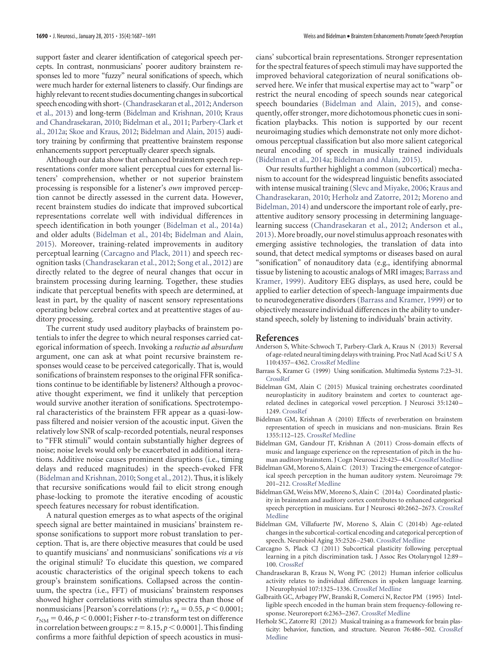support faster and clearer identification of categorical speech percepts. In contrast, nonmusicians' poorer auditory brainstem responses led to more "fuzzy" neural sonifications of speech, which were much harder for external listeners to classify. Our findings are highly relevant to recent studies documenting changes in subcortical speech encoding with short- [\(Chandrasekaran et al., 2012;](#page-3-9) [Anderson](#page-3-5) [et al., 2013\)](#page-3-5) and long-term [\(Bidelman and Krishnan, 2010;](#page-3-1) [Kraus](#page-4-0) [and Chandrasekaran, 2010;](#page-4-0) [Bidelman et al., 2011;](#page-3-2) [Parbery-Clark et](#page-4-6) [al., 2012a;](#page-4-6) [Skoe and Kraus, 2012;](#page-4-4) [Bidelman and Alain, 2015\)](#page-3-3) auditory training by confirming that preattentive brainstem response enhancements support perceptually clearer speech signals.

Although our data show that enhanced brainstem speech representations confer more salient perceptual cues for external listeners' comprehension, whether or not superior brainstem processing is responsible for a listener's *own* improved perception cannot be directly assessed in the current data. However, recent brainstem studies do indicate that improved subcortical representations correlate well with individual differences in speech identification in both younger [\(Bidelman et al., 2014a\)](#page-3-6) and older adults [\(Bidelman et al., 2014b;](#page-3-8) [Bidelman and Alain,](#page-3-3) [2015\)](#page-3-3). Moreover, training-related improvements in auditory perceptual learning [\(Carcagno and Plack, 2011\)](#page-3-10) and speech recognition tasks [\(Chandrasekaran et al., 2012;](#page-3-9) [Song et al., 2012\)](#page-4-13) are directly related to the degree of neural changes that occur in brainstem processing during learning. Together, these studies indicate that perceptual benefits with speech are determined, at least in part, by the quality of nascent sensory representations operating below cerebral cortex and at preattentive stages of auditory processing.

The current study used auditory playbacks of brainstem potentials to infer the degree to which neural responses carried categorical information of speech. Invoking a *reductio ad absurdum* argument, one can ask at what point recursive brainstem responses would cease to be perceived categorically. That is, would sonifications of brainstem responses to the original FFR sonifications continue to be identifiable by listeners? Although a provocative thought experiment, we find it unlikely that perception would survive another iteration of sonifications. Spectrotemporal characteristics of the brainstem FFR appear as a quasi-lowpass filtered and noisier version of the acoustic input. Given the relatively low SNR of scalp-recorded potentials, neural responses to "FFR stimuli" would contain substantially higher degrees of noise; noise levels would only be exacerbated in additional iterations. Additive noise causes prominent disruptions (i.e., timing delays and reduced magnitudes) in the speech-evoked FFR [\(Bidelman and Krishnan, 2010;](#page-3-1) [Song et al., 2012\)](#page-4-13). Thus, it is likely that recursive sonifications would fail to elicit strong enough phase-locking to promote the iterative encoding of acoustic speech features necessary for robust identification.

A natural question emerges as to what aspects of the original speech signal are better maintained in musicians' brainstem response sonifications to support more robust translation to perception. That is, are there objective measures that could be used to quantify musicians' and nonmusicians' sonifications *vis a vis* the original stimuli? To elucidate this question, we compared acoustic characteristics of the original speech tokens to each group's brainstem sonifications. Collapsed across the continuum, the spectra (i.e., FFT) of musicians' brainstem responses showed higher correlations with stimulus spectra than those of nonmusicians [Pearson's correlations (*r*):  $r_M = 0.55$ ,  $p \le 0.0001$ ;  $r_{\text{NM}} = 0.46$ ,  $p < 0.0001$ ; Fisher *r*-to-*z* transform test on difference in correlation between groups:  $z = 8.15$ ,  $p \le 0.0001$ . This finding confirms a more faithful depiction of speech acoustics in musicians' subcortical brain representations. Stronger representation for the spectral features of speech stimuli may have supported the improved behavioral categorization of neural sonifications observed here. We infer that musical expertise may act to "warp" or restrict the neural encoding of speech sounds near categorical speech boundaries [\(Bidelman and Alain, 2015\)](#page-3-3), and consequently, offer stronger, more dichotomous phonetic cues in sonification playbacks. This notion is supported by our recent neuroimaging studies which demonstrate not only more dichotomous perceptual classification but also more salient categorical neural encoding of speech in musically trained individuals [\(Bidelman et al., 2014a;](#page-3-6) [Bidelman and Alain, 2015\)](#page-3-3).

Our results further highlight a common (subcortical) mechanism to account for the widespread linguistic benefits associated with intense musical training [\(Slevc and Miyake, 2006;](#page-4-5) [Kraus and](#page-4-0) [Chandrasekaran, 2010;](#page-4-0) [Herholz and Zatorre, 2012;](#page-3-0) [Moreno and](#page-4-1) [Bidelman, 2014\)](#page-4-1) and underscore the important role of early, preattentive auditory sensory processing in determining languagelearning success [\(Chandrasekaran et al., 2012;](#page-3-9) [Anderson et al.,](#page-3-5) [2013\)](#page-3-5). More broadly, our novel stimulus approach resonates with emerging assistive technologies, the translation of data into sound, that detect medical symptoms or diseases based on aural "sonification" of nonauditory data (e.g., identifying abnormal tissue by listening to acoustic analogs of MRI images; [Barrass and](#page-3-11) [Kramer, 1999\)](#page-3-11). Auditory EEG displays, as used here, could be applied to earlier detection of speech-language impairments due to neurodegenerative disorders [\(Barrass and Kramer, 1999\)](#page-3-11) or to objectively measure individual differences in the ability to understand speech, solely by listening to individuals' brain activity.

#### **References**

- <span id="page-3-5"></span>Anderson S, White-Schwoch T, Parbery-Clark A, Kraus N (2013) Reversal of age-related neural timing delays with training. Proc Natl Acad Sci U S A 110:4357–4362. [CrossRef](http://dx.doi.org/10.1073/pnas.1213555110) [Medline](http://www.ncbi.nlm.nih.gov/pubmed/23401541)
- <span id="page-3-11"></span>Barrass S, Kramer G (1999) Using sonification. Multimedia Systems 7:23–31. [CrossRef](http://dx.doi.org/10.1007/s005300050108)
- <span id="page-3-3"></span>Bidelman GM, Alain C (2015) Musical training orchestrates coordinated neuroplasticity in auditory brainstem and cortex to counteract agerelated declines in categorical vowel perception. J Neurosci 35:1240 – 1249. [CrossRef](http://dx.doi.org/10.1523/JNEUROSCI.3292-14.2015)
- <span id="page-3-1"></span>Bidelman GM, Krishnan A (2010) Effects of reverberation on brainstem representation of speech in musicians and non-musicians. Brain Res 1355:112–125. [CrossRef](http://dx.doi.org/10.1016/j.brainres.2010.07.100) [Medline](http://www.ncbi.nlm.nih.gov/pubmed/20691672)
- <span id="page-3-2"></span>Bidelman GM, Gandour JT, Krishnan A (2011) Cross-domain effects of music and language experience on the representation of pitch in the human auditory brainstem. J Cogn Neurosci 23:425–434. [CrossRef](http://dx.doi.org/10.1162/jocn.2009.21362) [Medline](http://www.ncbi.nlm.nih.gov/pubmed/19925180)
- <span id="page-3-4"></span>Bidelman GM, Moreno S, Alain C (2013) Tracing the emergence of categorical speech perception in the human auditory system. Neuroimage 79: 201–212. [CrossRef](http://dx.doi.org/10.1016/j.neuroimage.2013.04.093) [Medline](http://www.ncbi.nlm.nih.gov/pubmed/23648960)
- <span id="page-3-6"></span>Bidelman GM, Weiss MW, Moreno S, Alain C (2014a) Coordinated plasticity in brainstem and auditory cortex contributes to enhanced categorical speech perception in musicians. Eur J Neurosci 40:2662–2673. [CrossRef](http://dx.doi.org/10.1111/ejn.12627) [Medline](http://www.ncbi.nlm.nih.gov/pubmed/24890664)
- <span id="page-3-8"></span>Bidelman GM, Villafuerte JW, Moreno S, Alain C (2014b) Age-related changes in the subcortical-cortical encoding and categorical perception of speech. Neurobiol Aging 35:2526 –2540. [CrossRef](http://dx.doi.org/10.1016/j.neurobiolaging.2014.05.006) [Medline](http://www.ncbi.nlm.nih.gov/pubmed/24908166)
- <span id="page-3-10"></span>Carcagno S, Plack CJ (2011) Subcortical plasticity following perceptual learning in a pitch discrimination task. J Assoc Res Otolaryngol 12:89 – 100. [CrossRef](http://dx.doi.org/10.1007/s10162-010-0236-1)
- <span id="page-3-9"></span>Chandrasekaran B, Kraus N, Wong PC (2012) Human inferior colliculus activity relates to individual differences in spoken language learning. J Neurophysiol 107:1325–1336. [CrossRef](http://dx.doi.org/10.1152/jn.00923.2011) [Medline](http://www.ncbi.nlm.nih.gov/pubmed/22131377)
- <span id="page-3-7"></span>Galbraith GC, Arbagey PW, Branski R, Comerci N, Rector PM (1995) Intelligible speech encoded in the human brain stem frequency-following response. Neuroreport 6:2363–2367. [CrossRef](http://dx.doi.org/10.1097/00001756-199511270-00021) [Medline](http://www.ncbi.nlm.nih.gov/pubmed/8747154)
- <span id="page-3-0"></span>Herholz SC, Zatorre RJ (2012) Musical training as a framework for brain plasticity: behavior, function, and structure. Neuron 76:486 –502. [CrossRef](http://dx.doi.org/10.1016/j.neuron.2012.10.011) [Medline](http://www.ncbi.nlm.nih.gov/pubmed/23141061)